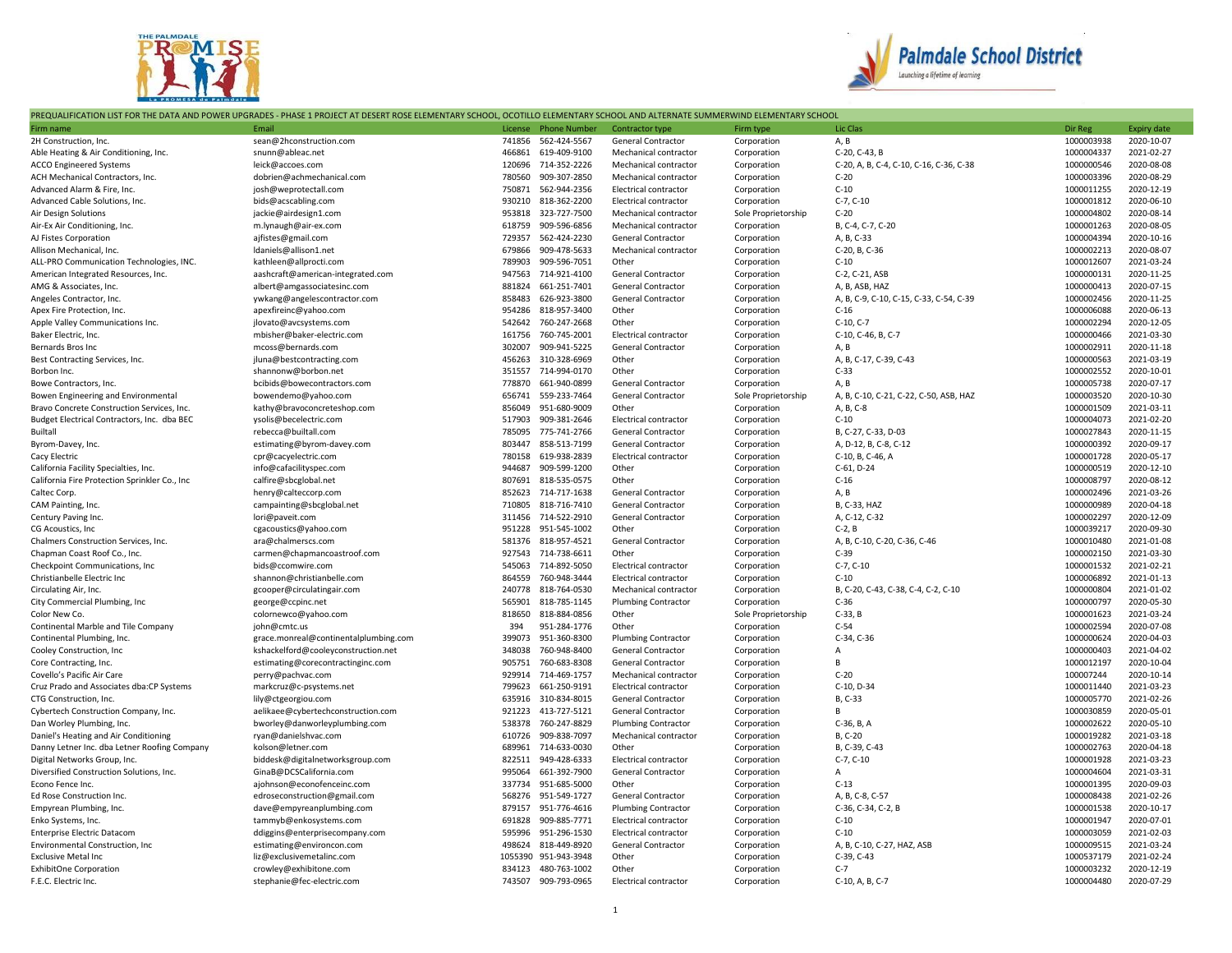



## PREQUALIFICATION LIST FOR THE DATA AND POWER UPGRADES - PHASE 1 PROJECT AT DESERT ROSE ELEMENTARY SCHOOL, OCOTILLO ELEMENTARY SCHOOL AND ALTERNATE SUMMERWIND ELEMENTARY SCHOOL

|                                               | התקטאנות והאחתית נוסדת וחב מאחת אתמית מתאמשה בחואסנים ומסוגנו את מנסבות מסוג נננותות והחיסו ומסוג מסחונוס נננותות סכומטע אתמים מתחמית והחדשות סטוחות ומחזים וכוחסטו |         |                      |                              |                     |                                         |            |                    |
|-----------------------------------------------|---------------------------------------------------------------------------------------------------------------------------------------------------------------------|---------|----------------------|------------------------------|---------------------|-----------------------------------------|------------|--------------------|
| Firm name                                     | Email                                                                                                                                                               | License | <b>Phone Number</b>  | <b>Contractor type</b>       | Firm type           | Lic Clas                                | Dir Reg    | <b>Expiry date</b> |
| 2H Construction, Inc.                         | sean@2hconstruction.com                                                                                                                                             | 741856  | 562-424-5567         | <b>General Contractor</b>    | Corporation         | A, B                                    | 1000003938 | 2020-10-07         |
| Able Heating & Air Conditioning, Inc.         | snunn@ableac.net                                                                                                                                                    | 466861  | 619-409-9100         | Mechanical contractor        | Corporation         | C-20, C-43, B                           | 1000004337 | 2021-02-27         |
| <b>ACCO Engineered Systems</b>                | leick@accoes.com                                                                                                                                                    | 120696  | 714-352-2226         | Mechanical contractor        | Corporation         | C-20, A, B, C-4, C-10, C-16, C-36, C-38 | 1000000546 | 2020-08-08         |
| ACH Mechanical Contractors, Inc.              | dobrien@achmechanical.com                                                                                                                                           | 780560  | 909-307-2850         | Mechanical contractor        | Corporation         | $C-20$                                  | 1000003396 | 2020-08-29         |
| Advanced Alarm & Fire, Inc.                   | josh@weprotectall.com                                                                                                                                               | 750871  | 562-944-2356         | <b>Electrical contractor</b> | Corporation         | $C-10$                                  | 1000011255 | 2020-12-19         |
| Advanced Cable Solutions, Inc.                | bids@acscabling.com                                                                                                                                                 | 930210  | 818-362-2200         | Electrical contractor        | Corporation         | $C-7, C-10$                             | 1000001812 | 2020-06-10         |
| Air Design Solutions                          | jackie@airdesign1.com                                                                                                                                               | 953818  | 323-727-7500         | Mechanical contractor        | Sole Proprietorship | $C-20$                                  | 1000004802 | 2020-08-14         |
| Air-Ex Air Conditioning, Inc.                 | m.lynaugh@air-ex.com                                                                                                                                                | 618759  | 909-596-6856         | Mechanical contractor        | Corporation         | B. C-4. C-7. C-20                       | 1000001263 | 2020-08-05         |
| AJ Fistes Corporation                         | ajfistes@gmail.com                                                                                                                                                  | 729357  | 562-424-2230         | General Contractor           | Corporation         | A, B, C-33                              | 1000004394 | 2020-10-16         |
| Allison Mechanical, Inc.                      | Idaniels@allison1.net                                                                                                                                               | 679866  | 909-478-5633         | Mechanical contractor        | Corporation         | C-20, B, C-36                           | 1000002213 | 2020-08-07         |
| ALL-PRO Communication Technologies, INC.      | kathleen@allprocti.com                                                                                                                                              | 789903  | 909-596-7051         | Other                        | Corporation         | $C-10$                                  | 1000012607 | 2021-03-24         |
| American Integrated Resources, Inc.           | aashcraft@american-integrated.com                                                                                                                                   | 947563  | 714-921-4100         | General Contractor           | Corporation         | C-2, C-21, ASB                          | 1000000131 | 2020-11-25         |
| AMG & Associates, Inc.                        | albert@amgassociatesinc.com                                                                                                                                         | 881824  | 661-251-7401         | General Contractor           | Corporation         | A, B, ASB, HAZ                          | 1000000413 | 2020-07-15         |
| Angeles Contractor, Inc.                      | ywkang@angelescontractor.com                                                                                                                                        | 858483  | 626-923-3800         | <b>General Contractor</b>    | Corporation         | A, B, C-9, C-10, C-15, C-33, C-54, C-39 | 1000002456 | 2020-11-25         |
| Apex Fire Protection, Inc.                    | apexfireinc@yahoo.com                                                                                                                                               | 954286  | 818-957-3400         | Other                        | Corporation         | $C-16$                                  | 1000006088 | 2020-06-13         |
| Apple Valley Communications Inc.              | jlovato@avcsystems.com                                                                                                                                              | 542642  | 760-247-2668         | Other                        | Corporation         | $C-10, C-7$                             | 1000002294 | 2020-12-05         |
| Baker Electric, Inc.                          | mbisher@baker-electric.com                                                                                                                                          | 161756  | 760-745-2001         | Electrical contractor        | Corporation         | C-10, C-46, B, C-7                      | 1000000466 | 2021-03-30         |
| Bernards Bros Inc                             |                                                                                                                                                                     | 302007  | 909-941-5225         |                              |                     |                                         | 1000002911 | 2020-11-18         |
|                                               | mcoss@bernards.com                                                                                                                                                  |         |                      | <b>General Contractor</b>    | Corporation         | A, B                                    |            |                    |
| Best Contracting Services, Inc.               | jluna@bestcontracting.com                                                                                                                                           | 456263  | 310-328-6969         | Other                        | Corporation         | A, B, C-17, C-39, C-43                  | 1000000563 | 2021-03-19         |
| Borbon Inc.                                   | shannonw@borbon.net                                                                                                                                                 | 351557  | 714-994-0170         | Other                        | Corporation         | $C-33$                                  | 1000002552 | 2020-10-01         |
| Bowe Contractors, Inc.                        | bcibids@bowecontractors.com                                                                                                                                         | 778870  | 661-940-0899         | <b>General Contractor</b>    | Corporation         | A, B                                    | 1000005738 | 2020-07-17         |
| Bowen Engineering and Environmental           | bowendemo@yahoo.com                                                                                                                                                 | 656741  | 559-233-7464         | <b>General Contractor</b>    | Sole Proprietorship | A, B, C-10, C-21, C-22, C-50, ASB, HAZ  | 1000003520 | 2020-10-30         |
| Bravo Concrete Construction Services, Inc.    | kathy@bravoconcreteshop.com                                                                                                                                         | 856049  | 951-680-9009         | Other                        | Corporation         | A, B, C-8                               | 1000001509 | 2021-03-11         |
| Budget Electrical Contractors, Inc. dba BEC   | ysolis@becelectric.com                                                                                                                                              | 517903  | 909-381-2646         | <b>Electrical contractor</b> | Corporation         | $C-10$                                  | 1000004073 | 2021-02-20         |
| Builtall                                      | rebecca@builtall.com                                                                                                                                                | 785095  | 775-741-2766         | <b>General Contractor</b>    | Corporation         | B, C-27, C-33, D-03                     | 1000027843 | 2020-11-15         |
| Byrom-Davey, Inc.                             | estimating@byrom-davey.com                                                                                                                                          | 803447  | 858-513-7199         | General Contractor           | Corporation         | A, D-12, B, C-8, C-12                   | 1000000392 | 2020-09-17         |
| Cacy Electric                                 | cpr@cacyelectric.com                                                                                                                                                | 780158  | 619-938-2839         | <b>Electrical contractor</b> | Corporation         | C-10, B, C-46, A                        | 1000001728 | 2020-05-17         |
| California Facility Specialties, Inc.         | info@cafacilityspec.com                                                                                                                                             | 944687  | 909-599-1200         | Other                        | Corporation         | C-61, D-24                              | 1000000519 | 2020-12-10         |
| California Fire Protection Sprinkler Co., Inc | calfire@sbcglobal.net                                                                                                                                               | 807691  | 818-535-0575         | Other                        | Corporation         | $C-16$                                  | 1000008797 | 2020-08-12         |
| Caltec Corp.                                  | henry@calteccorp.com                                                                                                                                                | 852623  | 714-717-1638         | General Contractor           | Corporation         | A, B                                    | 1000002496 | 2021-03-26         |
| CAM Painting, Inc.                            | campainting@sbcglobal.net                                                                                                                                           | 710805  | 818-716-7410         | <b>General Contractor</b>    | Corporation         | B, C-33, HAZ                            | 1000000989 | 2020-04-18         |
| Century Paving Inc                            | lori@paveit.com                                                                                                                                                     | 311456  | 714-522-2910         | General Contractor           | Corporation         | A, C-12, C-32                           | 1000002297 | 2020-12-09         |
| CG Acoustics, Inc.                            | cgacoustics@yahoo.com                                                                                                                                               | 951228  | 951-545-1002         | Other                        | Corporation         | $C-2, B$                                | 1000039217 | 2020-09-30         |
| Chalmers Construction Services, Inc.          | ara@chalmerscs.com                                                                                                                                                  | 581376  | 818-957-4521         | <b>General Contractor</b>    | Corporation         | A, B, C-10, C-20, C-36, C-46            | 1000010480 | 2021-01-08         |
| Chapman Coast Roof Co., Inc.                  | carmen@chapmancoastroof.com                                                                                                                                         | 927543  | 714-738-6611         | Other                        | Corporation         | $C-39$                                  | 1000002150 | 2021-03-30         |
| Checkpoint Communications, Inc.               | bids@ccomwire.com                                                                                                                                                   | 545063  | 714-892-5050         | Electrical contractor        | Corporation         | $C-7, C-10$                             | 1000001532 | 2021-02-21         |
| Christianbelle Electric Inc                   | shannon@christianbelle.com                                                                                                                                          | 864559  | 760-948-3444         | Electrical contractor        | Corporation         | $C-10$                                  | 1000006892 | 2021-01-13         |
| Circulating Air, Inc.                         | gcooper@circulatingair.com                                                                                                                                          | 240778  | 818-764-0530         | Mechanical contractor        | Corporation         | B, C-20, C-43, C-38, C-4, C-2, C-10     | 1000000804 | 2021-01-02         |
| City Commercial Plumbing, Inc                 | george@ccpinc.net                                                                                                                                                   | 565901  | 818-785-1145         | <b>Plumbing Contractor</b>   | Corporation         | $C-36$                                  | 1000000797 | 2020-05-30         |
| Color New Co.                                 | colornewco@yahoo.com                                                                                                                                                | 818650  | 818-884-0856         | Other                        | Sole Proprietorship | $C-33$ , B                              | 1000001623 | 2021-03-24         |
| Continental Marble and Tile Company           | john@cmtc.us                                                                                                                                                        | 394     | 951-284-1776         | Other                        | Corporation         | $C-54$                                  | 1000002594 | 2020-07-08         |
| Continental Plumbing, Inc.                    | grace.monreal@continentalplumbing.com                                                                                                                               | 399073  | 951-360-8300         | <b>Plumbing Contractor</b>   | Corporation         | C-34, C-36                              | 1000000624 | 2020-04-03         |
|                                               |                                                                                                                                                                     | 348038  | 760-948-8400         | <b>General Contractor</b>    | Corporation         | $\overline{A}$                          | 1000000403 | 2021-04-02         |
| Cooley Construction, Inc                      | kshackelford@cooleyconstruction.net                                                                                                                                 |         |                      |                              |                     | B                                       |            |                    |
| Core Contracting, Inc.                        | estimating@corecontractinginc.com                                                                                                                                   | 905751  | 760-683-8308         | <b>General Contractor</b>    | Corporation         |                                         | 1000012197 | 2020-10-04         |
| Covello's Pacific Air Care                    | perry@pachvac.com                                                                                                                                                   | 929914  | 714-469-1757         | Mechanical contractor        | Corporation         | $C-20$                                  | 100007244  | 2020-10-14         |
| Cruz Prado and Associates dba:CP Systems      | markcruz@c-psystems.net                                                                                                                                             | 799623  | 661-250-9191         | Electrical contractor        | Corporation         | C-10, D-34                              | 1000011440 | 2021-03-23         |
| CTG Construction, Inc.                        | lily@ctgeorgiou.com                                                                                                                                                 | 635916  | 310-834-8015         | <b>General Contractor</b>    | Corporation         | B, C-33                                 | 1000005770 | 2021-02-26         |
| Cybertech Construction Company, Inc.          | aelikaee@cybertechconstruction.com                                                                                                                                  | 921223  | 413-727-5121         | General Contractor           | Corporation         | B                                       | 1000030859 | 2020-05-01         |
| Dan Worley Plumbing, Inc.                     | bworley@danworleyplumbing.com                                                                                                                                       | 538378  | 760-247-8829         | Plumbing Contractor          | Corporation         | C-36, B, A                              | 1000002622 | 2020-05-10         |
| Daniel's Heating and Air Conditioning         | ryan@danielshvac.com                                                                                                                                                | 610726  | 909-838-7097         | Mechanical contractor        | Corporation         | B, C-20                                 | 1000019282 | 2021-03-18         |
| Danny Letner Inc. dba Letner Roofing Company  | kolson@letner.com                                                                                                                                                   | 689961  | 714-633-0030         | Other                        | Corporation         | B, C-39, C-43                           | 1000002763 | 2020-04-18         |
| Digital Networks Group, Inc.                  | biddesk@digitalnetworksgroup.com                                                                                                                                    | 822511  | 949-428-6333         | Electrical contractor        | Corporation         | $C-7, C-10$                             | 1000001928 | 2021-03-23         |
| Diversified Construction Solutions, Inc.      | GinaB@DCSCalifornia.com                                                                                                                                             | 995064  | 661-392-7900         | <b>General Contractor</b>    | Corporation         | $\overline{A}$                          | 1000004604 | 2021-03-31         |
| Econo Fence Inc.                              | ajohnson@econofenceinc.com                                                                                                                                          | 337734  | 951-685-5000         | Other                        | Corporation         | $C-13$                                  | 1000001395 | 2020-09-03         |
| Ed Rose Construction Inc.                     | edroseconstruction@gmail.com                                                                                                                                        | 568276  | 951-549-1727         | <b>General Contractor</b>    | Corporation         | A, B, C-8, C-57                         | 1000008438 | 2021-02-26         |
| Empyrean Plumbing, Inc.                       | dave@empyreanplumbing.com                                                                                                                                           | 879157  | 951-776-4616         | <b>Plumbing Contractor</b>   | Corporation         | C-36, C-34, C-2, B                      | 1000001538 | 2020-10-17         |
| Enko Systems, Inc.                            | tammyb@enkosystems.com                                                                                                                                              | 691828  | 909-885-7771         | Electrical contractor        | Corporation         | $C-10$                                  | 1000001947 | 2020-07-01         |
| <b>Enterprise Electric Datacom</b>            | ddiggins@enterprisecompany.com                                                                                                                                      | 595996  | 951-296-1530         | Electrical contractor        | Corporation         | $C-10$                                  | 1000003059 | 2021-02-03         |
| <b>Environmental Construction, Inc.</b>       | estimating@environcon.com                                                                                                                                           | 498624  | 818-449-8920         | <b>General Contractor</b>    | Corporation         | A, B, C-10, C-27, HAZ, ASB              | 1000009515 | 2021-03-24         |
| <b>Exclusive Metal Inc</b>                    | liz@exclusivemetalinc.com                                                                                                                                           |         | 1055390 951-943-3948 | Other                        | Corporation         | C-39, C-43                              | 1000537179 | 2021-02-24         |
| <b>ExhibitOne Corporation</b>                 | crowley@exhibitone.com                                                                                                                                              | 834123  | 480-763-1002         | Other                        | Corporation         | $C-7$                                   | 1000003232 | 2020-12-19         |
| F.E.C. Electric Inc.                          | stephanie@fec-electric.com                                                                                                                                          | 743507  | 909-793-0965         | Electrical contractor        | Corporation         | C-10, A, B, C-7                         | 1000004480 | 2020-07-29         |
|                                               |                                                                                                                                                                     |         |                      |                              |                     |                                         |            |                    |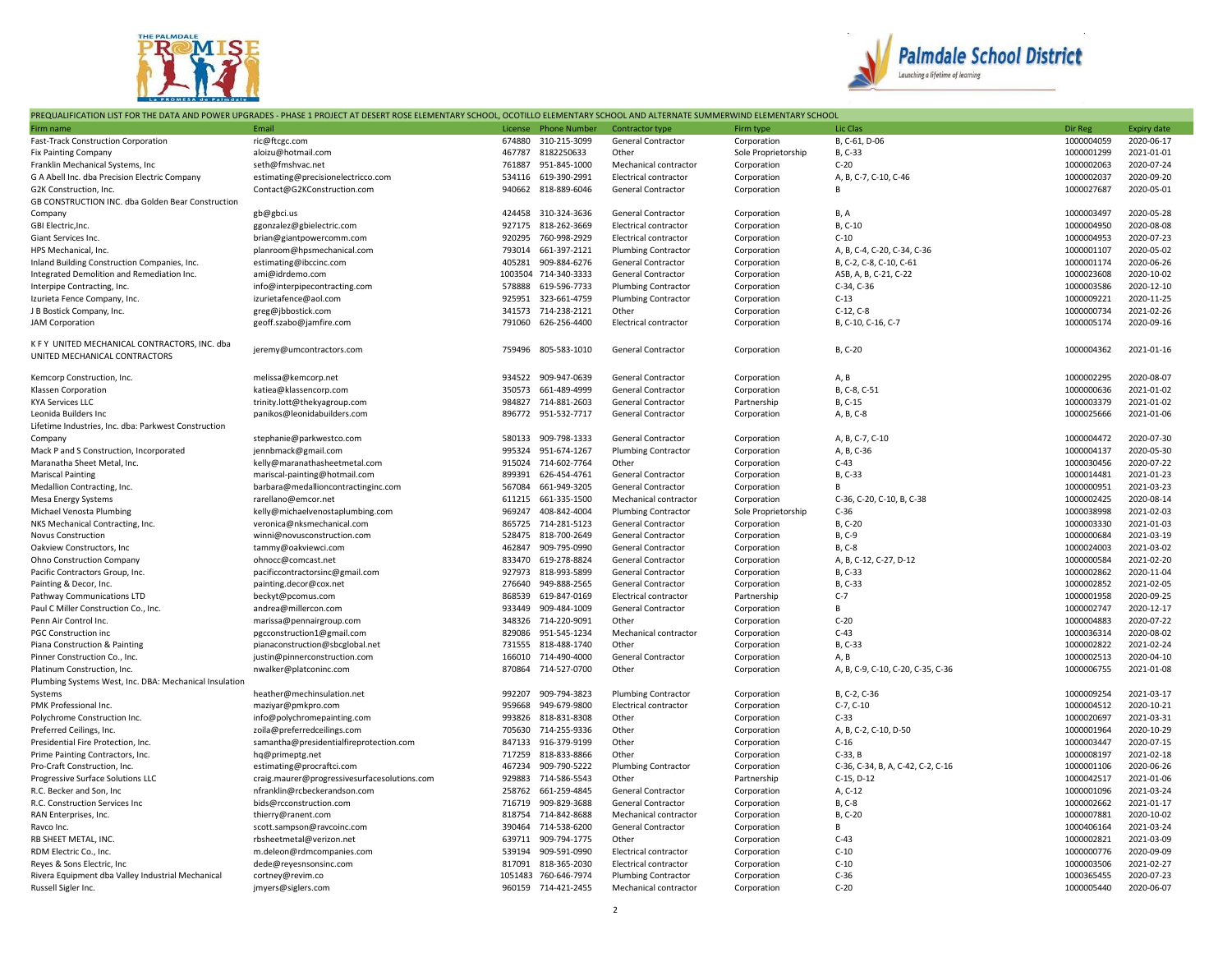



## PREQUALIFICATION LIST FOR THE DATA AND POWER UPGRADES - PHASE 1 PROJECT AT DESERT ROSE ELEMENTARY SCHOOL, OCOTILLO ELEMENTARY SCHOOL AND ALTERNATE SUMMERWIND ELEMENTARY SCHOOL

| Firm name                                                                      | Email                                        | License | <b>Phone Number</b>  | Contractor type              | Firm type           | Lic Clas                          | Dir Reg    | <b>Expiry date</b> |
|--------------------------------------------------------------------------------|----------------------------------------------|---------|----------------------|------------------------------|---------------------|-----------------------------------|------------|--------------------|
| Fast-Track Construction Corporation                                            | ric@ftcgc.com                                | 674880  | 310-215-3099         | <b>General Contractor</b>    | Corporation         | B, C-61, D-06                     | 1000004059 | 2020-06-17         |
| <b>Fix Painting Company</b>                                                    | aloizu@hotmail.com                           | 467787  | 8182250633           | Other                        | Sole Proprietorship | B. C-33                           | 1000001299 | 2021-01-01         |
| Franklin Mechanical Systems, Inc                                               | seth@fmshvac.net                             | 761887  | 951-845-1000         | Mechanical contractor        | Corporation         | $C-20$                            | 1000002063 | 2020-07-24         |
| G A Abell Inc. dba Precision Electric Company                                  | estimating@precisionelectricco.com           | 534116  | 619-390-2991         | Electrical contractor        | Corporation         | A, B, C-7, C-10, C-46             | 1000002037 | 2020-09-20         |
| G2K Construction, Inc.                                                         | Contact@G2KConstruction.com                  | 940662  | 818-889-6046         | <b>General Contractor</b>    | Corporation         | B                                 | 1000027687 | 2020-05-01         |
| GB CONSTRUCTION INC. dba Golden Bear Construction                              |                                              |         |                      |                              |                     |                                   |            |                    |
| Company                                                                        | gb@gbci.us                                   |         | 424458 310-324-3636  | <b>General Contractor</b>    | Corporation         | B, A                              | 1000003497 | 2020-05-28         |
| GBI Electric, Inc.                                                             | ggonzalez@gbielectric.com                    | 927175  | 818-262-3669         | <b>Electrical contractor</b> | Corporation         | B, C-10                           | 1000004950 | 2020-08-08         |
| Giant Services Inc.                                                            | brian@giantpowercomm.com                     | 920295  | 760-998-2929         | Electrical contractor        | Corporation         | $C-10$                            | 1000004953 | 2020-07-23         |
| HPS Mechanical, Inc.                                                           | planroom@hpsmechanical.com                   | 793014  | 661-397-2121         | <b>Plumbing Contractor</b>   | Corporation         | A, B, C-4, C-20, C-34, C-36       | 1000001107 | 2020-05-02         |
| Inland Building Construction Companies, Inc.                                   | estimating@ibccinc.com                       | 405281  | 909-884-6276         | <b>General Contractor</b>    | Corporation         | B, C-2, C-8, C-10, C-61           | 1000001174 | 2020-06-26         |
| Integrated Demolition and Remediation Inc.                                     | ami@idrdemo.com                              | 1003504 | 714-340-3333         | <b>General Contractor</b>    | Corporation         | ASB, A, B, C-21, C-22             | 1000023608 | 2020-10-02         |
| Interpipe Contracting, Inc.                                                    | info@interpipecontracting.com                | 578888  | 619-596-7733         | Plumbing Contractor          | Corporation         | C-34, C-36                        | 1000003586 | 2020-12-10         |
| Izurieta Fence Company, Inc.                                                   | izurietafence@aol.com                        | 925951  | 323-661-4759         | <b>Plumbing Contractor</b>   | Corporation         | $C-13$                            | 1000009221 | 2020-11-25         |
| J B Bostick Company, Inc.                                                      | greg@jbbostick.com                           | 341573  | 714-238-2121         | Other                        | Corporation         | $C-12, C-8$                       | 1000000734 | 2021-02-26         |
| <b>JAM Corporation</b>                                                         | geoff.szabo@jamfire.com                      | 791060  | 626-256-4400         | Electrical contractor        | Corporation         | B, C-10, C-16, C-7                | 1000005174 | 2020-09-16         |
|                                                                                |                                              |         |                      |                              |                     |                                   |            |                    |
| K F Y UNITED MECHANICAL CONTRACTORS, INC. dba<br>UNITED MECHANICAL CONTRACTORS | jeremy@umcontractors.com                     | 759496  | 805-583-1010         | <b>General Contractor</b>    | Corporation         | B, C-20                           | 1000004362 | 2021-01-16         |
| Kemcorp Construction, Inc.                                                     | melissa@kemcorp.net                          | 934522  | 909-947-0639         | <b>General Contractor</b>    | Corporation         | A, B                              | 1000002295 | 2020-08-07         |
| Klassen Corporation                                                            | katiea@klassencorp.com                       | 350573  | 661-489-4999         | <b>General Contractor</b>    | Corporation         | B, C-8, C-51                      | 1000000636 | 2021-01-02         |
| <b>KYA Services LLC</b>                                                        | trinity.lott@thekyagroup.com                 | 984827  | 714-881-2603         | <b>General Contractor</b>    | Partnership         | B, C-15                           | 1000003379 | 2021-01-02         |
| Leonida Builders Inc                                                           | panikos@leonidabuilders.com                  | 896772  | 951-532-7717         | General Contractor           | Corporation         | A, B, C-8                         | 1000025666 | 2021-01-06         |
| Lifetime Industries, Inc. dba: Parkwest Construction                           |                                              |         |                      |                              |                     |                                   |            |                    |
| Company                                                                        | stephanie@parkwestco.com                     | 580133  | 909-798-1333         | <b>General Contractor</b>    | Corporation         | A, B, C-7, C-10                   | 1000004472 | 2020-07-30         |
| Mack P and S Construction, Incorporated                                        | jennbmack@gmail.com                          | 995324  | 951-674-1267         | <b>Plumbing Contractor</b>   | Corporation         | A, B, C-36                        | 1000004137 | 2020-05-30         |
| Maranatha Sheet Metal, Inc.                                                    | kelly@maranathasheetmetal.com                | 915024  | 714-602-7764         | Other                        | Corporation         | $C-43$                            | 1000030456 | 2020-07-22         |
| <b>Mariscal Painting</b>                                                       | mariscal-painting@hotmail.com                | 899391  | 626-454-4761         | <b>General Contractor</b>    | Corporation         | B, C-33                           | 1000014481 | 2021-01-23         |
| Medallion Contracting, Inc.                                                    | barbara@medallioncontractinginc.com          | 567084  | 661-949-3205         | General Contractor           | Corporation         | R.                                | 1000000951 | 2021-03-23         |
| <b>Mesa Energy Systems</b>                                                     | rarellano@emcor.net                          | 611215  | 661-335-1500         | Mechanical contractor        | Corporation         | C-36, C-20, C-10, B, C-38         | 1000002425 | 2020-08-14         |
| Michael Venosta Plumbing                                                       | kelly@michaelvenostaplumbing.com             | 969247  | 408-842-4004         | <b>Plumbing Contractor</b>   | Sole Proprietorship | $C-36$                            | 1000038998 | 2021-02-03         |
| NKS Mechanical Contracting, Inc.                                               | veronica@nksmechanical.com                   | 865725  | 714-281-5123         | <b>General Contractor</b>    | Corporation         | B, C-20                           | 1000003330 | 2021-01-03         |
| <b>Novus Construction</b>                                                      | winni@novusconstruction.com                  | 528475  | 818-700-2649         | <b>General Contractor</b>    | Corporation         | B, C-9                            | 1000000684 | 2021-03-19         |
| Oakview Constructors, Inc.                                                     | tammy@oakviewci.com                          | 462847  | 909-795-0990         | General Contractor           | Corporation         | B, C-8                            | 1000024003 | 2021-03-02         |
| Ohno Construction Company                                                      | ohnocc@comcast.net                           | 833470  | 619-278-8824         | General Contractor           | Corporation         | A, B, C-12, C-27, D-12            | 1000000584 | 2021-02-20         |
| Pacific Contractors Group, Inc.                                                | pacificcontractorsinc@gmail.com              | 927973  | 818-993-5899         | <b>General Contractor</b>    | Corporation         | B, C-33                           | 1000002862 | 2020-11-04         |
| Painting & Decor, Inc.                                                         | painting.decor@cox.net                       | 276640  | 949-888-2565         | <b>General Contractor</b>    | Corporation         | B, C-33                           | 1000002852 | 2021-02-05         |
| Pathway Communications LTD                                                     | beckyt@pcomus.com                            | 868539  | 619-847-0169         | <b>Electrical contractor</b> | Partnership         | $C-7$                             | 1000001958 | 2020-09-25         |
| Paul C Miller Construction Co., Inc.                                           | andrea@millercon.com                         | 933449  | 909-484-1009         | General Contractor           | Corporation         | B                                 | 1000002747 | 2020-12-17         |
| Penn Air Control Inc.                                                          | marissa@pennairgroup.com                     | 348326  | 714-220-9091         | Other                        | Corporation         | $C-20$                            | 1000004883 | 2020-07-22         |
| <b>PGC Construction inc</b>                                                    | pgcconstruction1@gmail.com                   | 829086  | 951-545-1234         | Mechanical contractor        | Corporation         | $C-43$                            | 1000036314 | 2020-08-02         |
| Piana Construction & Painting                                                  | pianaconstruction@sbcglobal.net              | 731555  | 818-488-1740         | Other                        | Corporation         | B, C-33                           | 1000002822 | 2021-02-24         |
| Pinner Construction Co., Inc.                                                  | justin@pinnerconstruction.com                | 166010  | 714-490-4000         | <b>General Contractor</b>    | Corporation         | A, B                              | 1000002513 | 2020-04-10         |
| Platinum Construction, Inc.                                                    | nwalker@platconinc.com                       | 870864  | 714-527-0700         | Other                        | Corporation         | A, B, C-9, C-10, C-20, C-35, C-36 | 1000006755 | 2021-01-08         |
| Plumbing Systems West, Inc. DBA: Mechanical Insulation                         |                                              |         |                      |                              |                     |                                   |            |                    |
| Systems                                                                        | heather@mechinsulation.net                   | 992207  | 909-794-3823         | <b>Plumbing Contractor</b>   | Corporation         | B, C-2, C-36                      | 1000009254 | 2021-03-17         |
| PMK Professional Inc.                                                          | maziyar@pmkpro.com                           | 959668  | 949-679-9800         | Electrical contractor        | Corporation         | $C-7, C-10$                       | 1000004512 | 2020-10-21         |
| Polychrome Construction Inc.                                                   | info@polychromepainting.com                  | 993826  | 818-831-8308         | Other                        | Corporation         | $C-33$                            | 1000020697 | 2021-03-31         |
| Preferred Ceilings, Inc.                                                       | zoila@preferredceilings.com                  | 705630  | 714-255-9336         | Other                        | Corporation         | A, B, C-2, C-10, D-50             | 1000001964 | 2020-10-29         |
| Presidential Fire Protection, Inc.                                             | samantha@presidentialfireprotection.com      | 847133  | 916-379-9199         | Other                        | Corporation         | $C-16$                            | 1000003447 | 2020-07-15         |
| Prime Painting Contractors, Inc.                                               | hq@primeptg.net                              | 717259  | 818-833-8866         | Other                        | Corporation         | $C-33$ , B                        | 1000008197 | 2021-02-18         |
| Pro-Craft Construction, Inc.                                                   | estimating@procraftci.com                    | 467234  | 909-790-5222         | <b>Plumbing Contractor</b>   | Corporation         | C-36, C-34, B, A, C-42, C-2, C-16 | 1000001106 | 2020-06-26         |
| Progressive Surface Solutions LLC                                              | craig.maurer@progressivesurfacesolutions.com | 929883  | 714-586-5543         | Other                        | Partnership         | $C-15, D-12$                      | 1000042517 | 2021-01-06         |
| R.C. Becker and Son, Inc                                                       | nfranklin@rcbeckerandson.com                 | 258762  | 661-259-4845         | <b>General Contractor</b>    | Corporation         | A, C-12                           | 1000001096 | 2021-03-24         |
| R.C. Construction Services Inc                                                 | bids@rcconstruction.com                      | 716719  | 909-829-3688         | General Contractor           | Corporation         | B, C-8                            | 1000002662 | 2021-01-17         |
| RAN Enterprises, Inc.                                                          | thierry@ranent.com                           | 818754  | 714-842-8688         | Mechanical contractor        | Corporation         | B, C-20                           | 1000007881 | 2020-10-02         |
| Ravco Inc.                                                                     | scott.sampson@ravcoinc.com                   | 390464  | 714-538-6200         | <b>General Contractor</b>    | Corporation         | В                                 | 1000406164 | 2021-03-24         |
| RB SHEET METAL, INC.                                                           | rbsheetmetal@verizon.net                     | 639711  | 909-794-1775         | Other                        | Corporation         | $C-43$                            | 1000002821 | 2021-03-09         |
| RDM Electric Co., Inc.                                                         | m.deleon@rdmcompanies.com                    | 539194  | 909-591-0990         | Electrical contractor        | Corporation         | $C-10$                            | 1000000776 | 2020-09-09         |
| Reyes & Sons Electric, Inc.                                                    | dede@reyesnsonsinc.com                       | 817091  | 818-365-2030         | Electrical contractor        | Corporation         | $C-10$                            | 1000003506 | 2021-02-27         |
| Rivera Equipment dba Valley Industrial Mechanical                              | cortney@revim.co                             |         | 1051483 760-646-7974 | <b>Plumbing Contractor</b>   | Corporation         | $C-36$                            | 1000365455 | 2020-07-23         |
| Russell Sigler Inc.                                                            | jmyers@siglers.com                           |         | 960159 714-421-2455  | Mechanical contractor        | Corporation         | $C-20$                            | 1000005440 | 2020-06-07         |
|                                                                                |                                              |         |                      |                              |                     |                                   |            |                    |